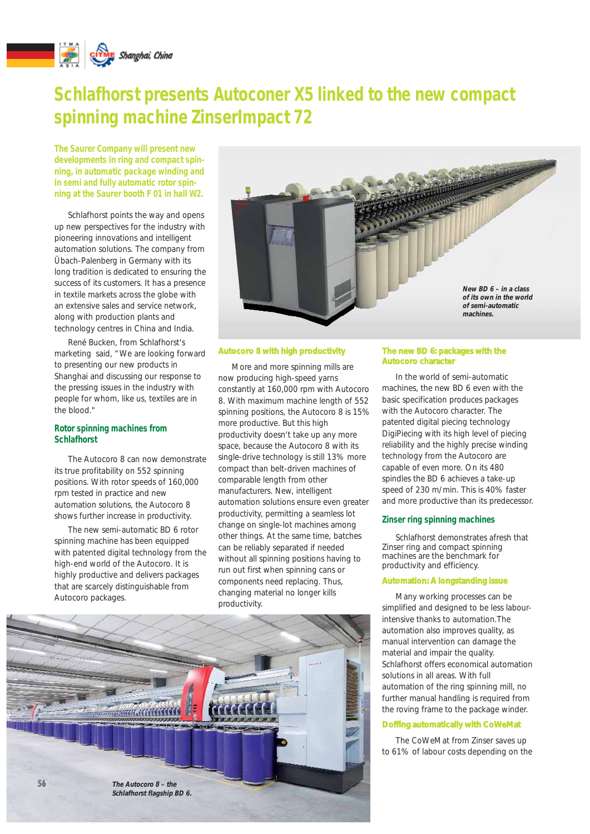

# **Schlafhorst presents Autoconer X5 linked to the new compact spinning machine ZinserImpact 72**

**The Saurer Company will present new developments in ring and compact spinning, in automatic package winding and in semi and fully automatic rotor spinning at the Saurer booth F 01 in hall W2.**

Schlafhorst points the way and opens up new perspectives for the industry with pioneering innovations and intelligent automation solutions. The company from Übach-Palenberg in Germany with its long tradition is dedicated to ensuring the success of its customers. It has a presence in textile markets across the globe with an extensive sales and service network, along with production plants and technology centres in China and India.

René Bucken, from Schlafhorst's marketing said, "We are looking forward to presenting our new products in Shanghai and discussing our response to the pressing issues in the industry with people for whom, like us, textiles are in the blood."

## **Rotor spinning machines from Schlafhorst**

The Autocoro 8 can now demonstrate its true profitability on 552 spinning positions. With rotor speeds of 160,000 rpm tested in practice and new automation solutions, the Autocoro 8 shows further increase in productivity.

The new semi-automatic BD 6 rotor spinning machine has been equipped with patented digital technology from the high-end world of the Autocoro. It is highly productive and delivers packages that are scarcely distinguishable from Autocoro packages.



## *Autocoro 8 with high productivity*

More and more spinning mills are now producing high-speed yarns constantly at 160,000 rpm with Autocoro 8. With maximum machine length of 552 spinning positions, the Autocoro 8 is 15% more productive. But this high productivity doesn't take up any more space, because the Autocoro 8 with its single-drive technology is still 13% more compact than belt-driven machines of comparable length from other manufacturers. New, intelligent automation solutions ensure even greater productivity, permitting a seamless lot change on single-lot machines among other things. At the same time, batches can be reliably separated if needed without all spinning positions having to run out first when spinning cans or components need replacing. Thus, changing material no longer kills productivity.



#### *The new BD 6: packages with the Autocoro character*

In the world of semi-automatic machines, the new BD 6 even with the basic specification produces packages with the Autocoro character. The patented digital piecing technology DigiPiecing with its high level of piecing reliability and the highly precise winding technology from the Autocoro are capable of even more. On its 480 spindles the BD 6 achieves a take-up speed of 230 m/min. This is 40% faster and more productive than its predecessor.

#### **Zinser ring spinning machines**

Schlafhorst demonstrates afresh that Zinser ring and compact spinning machines are the benchmark for productivity and efficiency.

#### *Automation: A longstanding issue*

Many working processes can be simplified and designed to be less labourintensive thanks to automation.The automation also improves quality, as manual intervention can damage the material and impair the quality. Schlafhorst offers economical automation solutions in all areas. With full automation of the ring spinning mill, no further manual handling is required from the roving frame to the package winder.

#### *Doffing automatically with CoWeMat*

The CoWeMat from Zinser saves up to 61% of labour costs depending on the